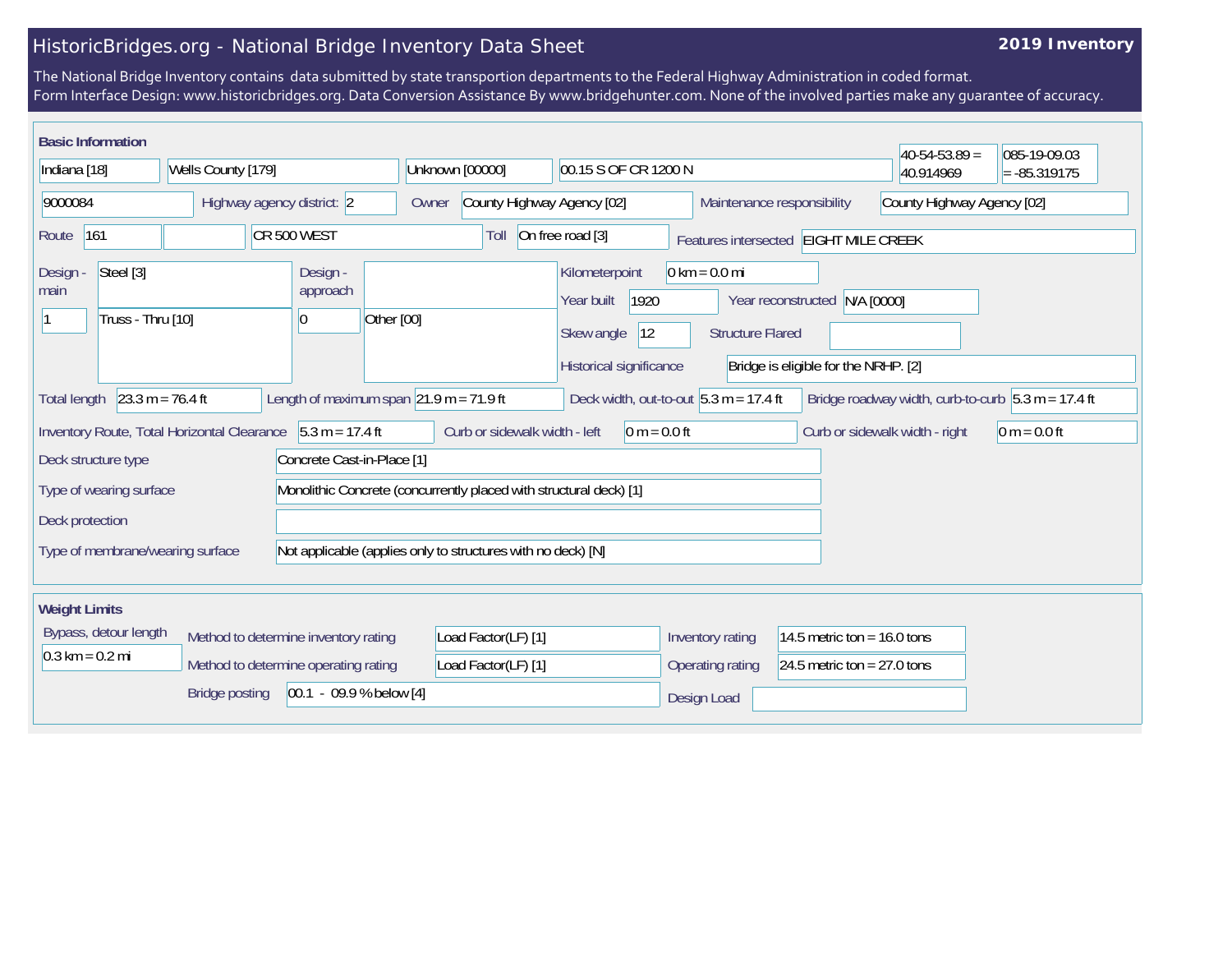## HistoricBridges.org - National Bridge Inventory Data Sheet

## **2019 Inventory**

The National Bridge Inventory contains data submitted by state transportion departments to the Federal Highway Administration in coded format. Form Interface Design: www.historicbridges.org. Data Conversion Assistance By www.bridgehunter.com. None of the involved parties make any guarantee of accuracy.

| <b>Basic Information</b>                                                                                                                                                                              |                                             |                                                                    |                                     |                                                                                      |                                                            |                                                                       | $40-54-53.89 =$                | 085-19-09.03   |
|-------------------------------------------------------------------------------------------------------------------------------------------------------------------------------------------------------|---------------------------------------------|--------------------------------------------------------------------|-------------------------------------|--------------------------------------------------------------------------------------|------------------------------------------------------------|-----------------------------------------------------------------------|--------------------------------|----------------|
| Indiana [18]<br>Wells County [179]                                                                                                                                                                    |                                             | Unknown [00000]<br>00.15 S OF CR 1200 N                            |                                     |                                                                                      |                                                            | 40.914969                                                             | $= -85.319175$                 |                |
| 9000084<br>Highway agency district: 2                                                                                                                                                                 |                                             |                                                                    | County Highway Agency [02]<br>Owner |                                                                                      |                                                            | County Highway Agency [02]<br>Maintenance responsibility              |                                |                |
| 161<br>Route                                                                                                                                                                                          | CR 500 WEST                                 |                                                                    | Toll                                | On free road [3]                                                                     |                                                            | Features intersected EIGHT MILE CREEK                                 |                                |                |
| Steel [3]<br>Design -<br>main<br>Truss - Thru [10]                                                                                                                                                    |                                             | Design -<br>approach<br>Other [00]<br>$\overline{0}$               |                                     | Kilometerpoint<br>1920<br>Year built<br> 12<br>Skew angle<br>Historical significance | $0 \text{ km} = 0.0 \text{ mi}$<br><b>Structure Flared</b> | Year reconstructed N/A [0000]<br>Bridge is eligible for the NRHP. [2] |                                |                |
| $23.3 m = 76.4 ft$<br>Length of maximum span $ 21.9 \text{ m} = 71.9 \text{ ft} $<br>Deck width, out-to-out $5.3 m = 17.4 ft$<br>Bridge roadway width, curb-to-curb $5.3 m = 17.4 ft$<br>Total length |                                             |                                                                    |                                     |                                                                                      |                                                            |                                                                       |                                |                |
|                                                                                                                                                                                                       | Inventory Route, Total Horizontal Clearance | $5.3 m = 17.4 ft$                                                  | Curb or sidewalk width - left       | $0 m = 0.0 ft$                                                                       |                                                            |                                                                       | Curb or sidewalk width - right | $0 m = 0.0 ft$ |
| Deck structure type<br>Concrete Cast-in-Place [1]                                                                                                                                                     |                                             |                                                                    |                                     |                                                                                      |                                                            |                                                                       |                                |                |
| Type of wearing surface                                                                                                                                                                               |                                             | Monolithic Concrete (concurrently placed with structural deck) [1] |                                     |                                                                                      |                                                            |                                                                       |                                |                |
| Deck protection                                                                                                                                                                                       |                                             |                                                                    |                                     |                                                                                      |                                                            |                                                                       |                                |                |
| Type of membrane/wearing surface<br>Not applicable (applies only to structures with no deck) [N]                                                                                                      |                                             |                                                                    |                                     |                                                                                      |                                                            |                                                                       |                                |                |
| <b>Weight Limits</b>                                                                                                                                                                                  |                                             |                                                                    |                                     |                                                                                      |                                                            |                                                                       |                                |                |
| Bypass, detour length                                                                                                                                                                                 | Method to determine inventory rating        |                                                                    | Load Factor(LF) [1]                 |                                                                                      | Inventory rating                                           | 14.5 metric ton = $16.0$ tons                                         |                                |                |
| $0.3 \text{ km} = 0.2 \text{ mi}$                                                                                                                                                                     | Method to determine operating rating        |                                                                    | Load Factor(LF) [1]                 |                                                                                      | Operating rating                                           | 24.5 metric ton = $27.0$ tons                                         |                                |                |
| $[00.1 - 09.9 %$ below [4]<br><b>Bridge posting</b>                                                                                                                                                   |                                             |                                                                    |                                     | Design Load                                                                          |                                                            |                                                                       |                                |                |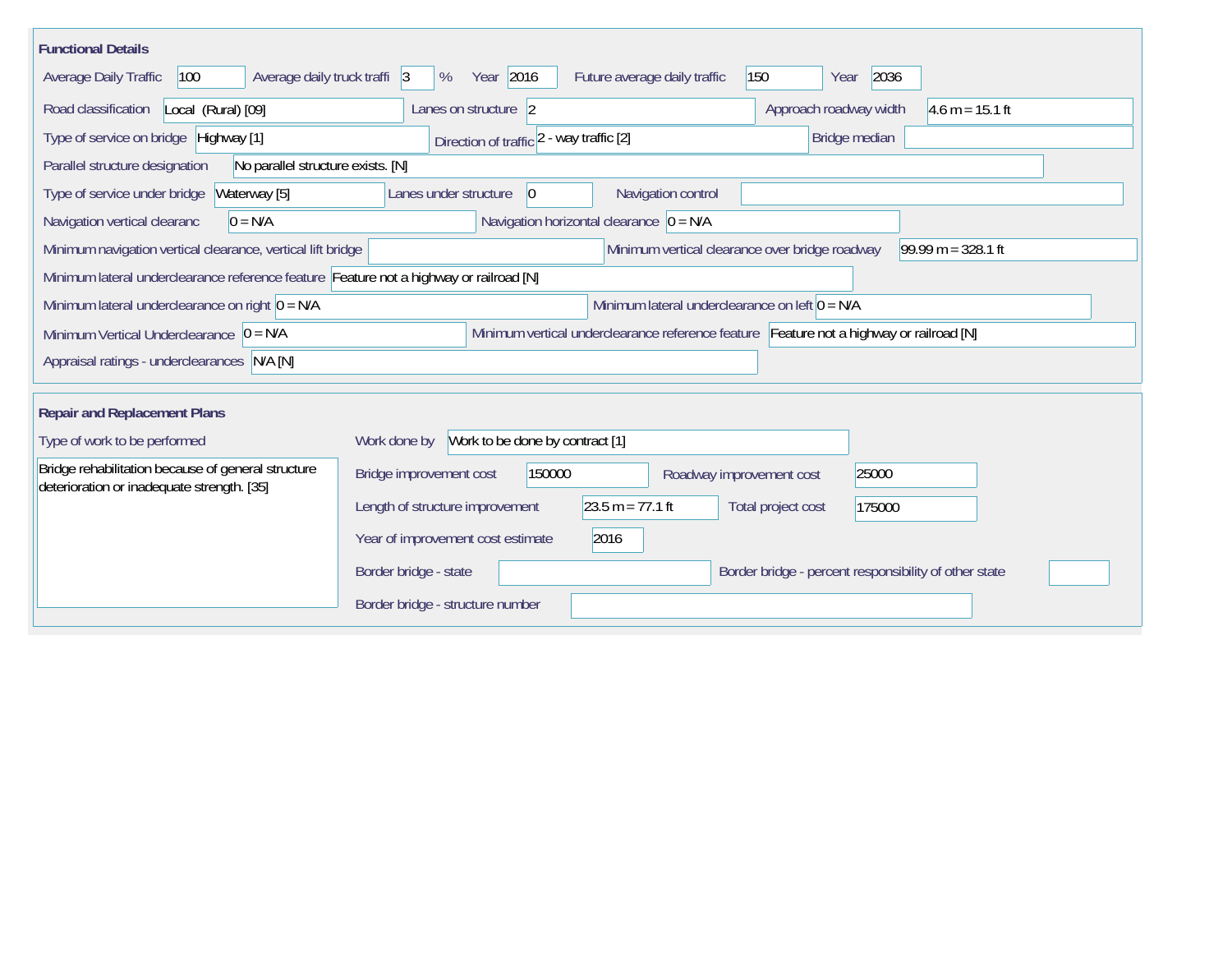| <b>Functional Details</b>                                                                        |                                                 |                                                                                         |                                                       |                      |
|--------------------------------------------------------------------------------------------------|-------------------------------------------------|-----------------------------------------------------------------------------------------|-------------------------------------------------------|----------------------|
| Average daily truck traffi 3<br>Average Daily Traffic<br>100                                     | Year 2016<br>%                                  | Future average daily traffic                                                            | 150<br>2036<br>Year                                   |                      |
| Road classification<br>Local (Rural) [09]                                                        | Lanes on structure 2                            |                                                                                         | Approach roadway width                                | $4.6 m = 15.1 ft$    |
| Type of service on bridge Highway [1]                                                            | Direction of traffic 2 - way traffic [2]        |                                                                                         | Bridge median                                         |                      |
| Parallel structure designation<br>No parallel structure exists. [N]                              |                                                 |                                                                                         |                                                       |                      |
| Type of service under bridge<br>Waterway [5]                                                     | Lanes under structure<br>$\vert 0 \vert$        | Navigation control                                                                      |                                                       |                      |
| $0 = N/A$<br>Navigation vertical clearanc                                                        |                                                 | Navigation horizontal clearance $ 0 = N/A $                                             |                                                       |                      |
| Minimum navigation vertical clearance, vertical lift bridge                                      |                                                 | Minimum vertical clearance over bridge roadway                                          |                                                       | $99.99 m = 328.1 ft$ |
| Minimum lateral underclearance reference feature Feature not a highway or railroad [N]           |                                                 |                                                                                         |                                                       |                      |
| Minimum lateral underclearance on right $0 = N/A$                                                |                                                 | Minimum lateral underclearance on left $0 = N/A$                                        |                                                       |                      |
| Minimum Vertical Underclearance $ 0 = N/A $                                                      |                                                 | Minimum vertical underclearance reference feature Feature not a highway or railroad [N] |                                                       |                      |
| Appraisal ratings - underclearances N/A [N]                                                      |                                                 |                                                                                         |                                                       |                      |
|                                                                                                  |                                                 |                                                                                         |                                                       |                      |
| <b>Repair and Replacement Plans</b>                                                              |                                                 |                                                                                         |                                                       |                      |
| Type of work to be performed                                                                     | Work to be done by contract [1]<br>Work done by |                                                                                         |                                                       |                      |
| Bridge rehabilitation because of general structure<br>deterioration or inadequate strength. [35] | Bridge improvement cost<br>150000               | Roadway improvement cost                                                                | 25000                                                 |                      |
|                                                                                                  | Length of structure improvement                 | $23.5 m = 77.1 ft$                                                                      | Total project cost<br>175000                          |                      |
|                                                                                                  | Year of improvement cost estimate               | 2016                                                                                    |                                                       |                      |
|                                                                                                  | Border bridge - state                           |                                                                                         | Border bridge - percent responsibility of other state |                      |
|                                                                                                  | Border bridge - structure number                |                                                                                         |                                                       |                      |